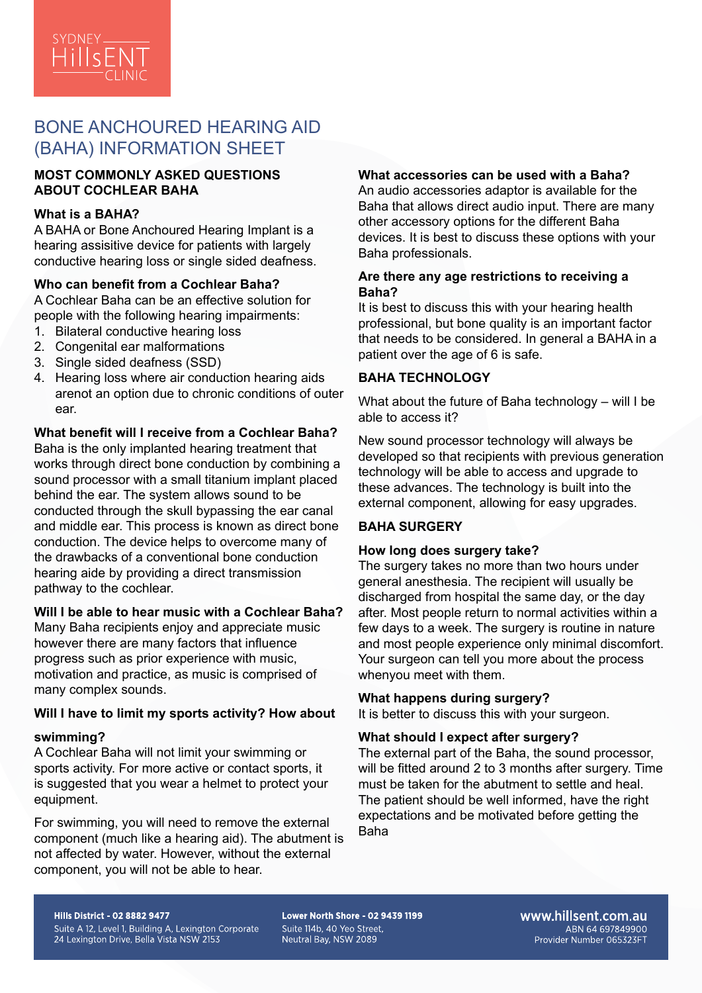

# BONE ANCHOURED HEARING AID (BAHA) INFORMATION SHEET

# **MOST COMMONLY ASKED QUESTIONS ABOUT COCHLEAR BAHA**

# **What is a BAHA?**

A BAHA or Bone Anchoured Hearing Implant is a hearing assisitive device for patients with largely conductive hearing loss or single sided deafness.

# **Who can benefit from a Cochlear Baha?**

A Cochlear Baha can be an effective solution for people with the following hearing impairments:

- 1. Bilateral conductive hearing loss
- 2. Congenital ear malformations
- 3. Single sided deafness (SSD)
- 4. Hearing loss where air conduction hearing aids arenot an option due to chronic conditions of outer ear.

# **What benefit will I receive from a Cochlear Baha?**

Baha is the only implanted hearing treatment that works through direct bone conduction by combining a sound processor with a small titanium implant placed behind the ear. The system allows sound to be conducted through the skull bypassing the ear canal and middle ear. This process is known as direct bone conduction. The device helps to overcome many of the drawbacks of a conventional bone conduction hearing aide by providing a direct transmission pathway to the cochlear.

### **Will I be able to hear music with a Cochlear Baha?**

Many Baha recipients enjoy and appreciate music however there are many factors that influence progress such as prior experience with music, motivation and practice, as music is comprised of many complex sounds.

### **Will I have to limit my sports activity? How about**

### **swimming?**

A Cochlear Baha will not limit your swimming or sports activity. For more active or contact sports, it is suggested that you wear a helmet to protect your equipment.

For swimming, you will need to remove the external component (much like a hearing aid). The abutment is not affected by water. However, without the external component, you will not be able to hear.

# **What accessories can be used with a Baha?**

An audio accessories adaptor is available for the Baha that allows direct audio input. There are many other accessory options for the different Baha devices. It is best to discuss these options with your Baha professionals.

### **Are there any age restrictions to receiving a Baha?**

It is best to discuss this with your hearing health professional, but bone quality is an important factor that needs to be considered. In general a BAHA in a patient over the age of 6 is safe.

# **BAHA TECHNOLOGY**

What about the future of Baha technology – will I be able to access it?

New sound processor technology will always be developed so that recipients with previous generation technology will be able to access and upgrade to these advances. The technology is built into the external component, allowing for easy upgrades.

# **BAHA SURGERY**

### **How long does surgery take?**

The surgery takes no more than two hours under general anesthesia. The recipient will usually be discharged from hospital the same day, or the day after. Most people return to normal activities within a few days to a week. The surgery is routine in nature and most people experience only minimal discomfort. Your surgeon can tell you more about the process whenyou meet with them.

# **What happens during surgery?**

It is better to discuss this with your surgeon.

# **What should I expect after surgery?**

The external part of the Baha, the sound processor, will be fitted around 2 to 3 months after surgery. Time must be taken for the abutment to settle and heal. The patient should be well informed, have the right expectations and be motivated before getting the Baha

#### **Hills District - 02 8882 9477**

Suite A 12, Level 1, Building A, Lexington Corporate 24 Lexington Drive, Bella Vista NSW 2153

Lower North Shore - 02 9439 1199 Suite 114b, 40 Yeo Street. Neutral Bay, NSW 2089

www.hillsent.com.au ABN 64 697849900 Provider Number 065323FT